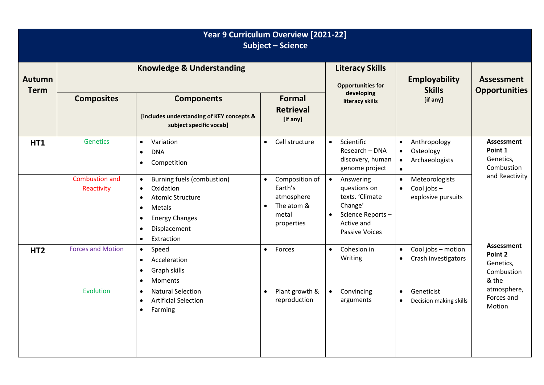| Year 9 Curriculum Overview [2021-22]<br><b>Subject - Science</b> |                                      |                                                                                                                                                                                                                                |                                                                                           |                                                                                                                                              |                                                                                                 |                                                                                                         |  |
|------------------------------------------------------------------|--------------------------------------|--------------------------------------------------------------------------------------------------------------------------------------------------------------------------------------------------------------------------------|-------------------------------------------------------------------------------------------|----------------------------------------------------------------------------------------------------------------------------------------------|-------------------------------------------------------------------------------------------------|---------------------------------------------------------------------------------------------------------|--|
| <b>Autumn</b><br><b>Term</b>                                     | <b>Knowledge &amp; Understanding</b> |                                                                                                                                                                                                                                |                                                                                           | <b>Literacy Skills</b><br><b>Opportunities for</b>                                                                                           | <b>Employability</b><br><b>Skills</b>                                                           | <b>Assessment</b><br><b>Opportunities</b>                                                               |  |
|                                                                  | <b>Composites</b>                    | <b>Components</b><br>[includes understanding of KEY concepts &<br>subject specific vocab]                                                                                                                                      | <b>Formal</b><br><b>Retrieval</b><br>[if any]                                             | developing<br>literacy skills                                                                                                                | [if any]                                                                                        |                                                                                                         |  |
| <b>HT1</b>                                                       | <b>Genetics</b>                      | Variation<br>$\bullet$<br><b>DNA</b><br>$\bullet$<br>Competition<br>$\bullet$                                                                                                                                                  | Cell structure<br>$\bullet$                                                               | Scientific<br>$\bullet$<br>Research - DNA<br>discovery, human<br>genome project                                                              | Anthropology<br>$\bullet$<br>Osteology<br>$\bullet$<br>Archaeologists<br>$\bullet$<br>$\bullet$ | <b>Assessment</b><br>Point 1<br>Genetics,<br>Combustion                                                 |  |
|                                                                  | <b>Combustion and</b><br>Reactivity  | Burning fuels (combustion)<br>$\bullet$<br>Oxidation<br>$\bullet$<br><b>Atomic Structure</b><br>$\bullet$<br>Metals<br>$\bullet$<br><b>Energy Changes</b><br>$\bullet$<br>Displacement<br>$\bullet$<br>Extraction<br>$\bullet$ | Composition of<br>$\bullet$<br>Earth's<br>atmosphere<br>The atom &<br>metal<br>properties | $\bullet$<br>Answering<br>questions on<br>texts. 'Climate<br>Change'<br>Science Reports-<br>$\bullet$<br>Active and<br><b>Passive Voices</b> | Meteorologists<br>$\bullet$<br>Cool jobs-<br>$\bullet$<br>explosive pursuits                    | and Reactivity                                                                                          |  |
| HT <sub>2</sub>                                                  | <b>Forces and Motion</b>             | Speed<br>$\bullet$<br>Acceleration<br>$\bullet$<br>Graph skills<br>$\bullet$<br>Moments<br>$\bullet$                                                                                                                           | Forces<br>$\bullet$                                                                       | Cohesion in<br>$\bullet$<br>Writing                                                                                                          | Cool jobs - motion<br>$\bullet$<br>Crash investigators<br>$\bullet$                             | <b>Assessment</b><br>Point 2<br>Genetics,<br>Combustion<br>& the<br>atmosphere,<br>Forces and<br>Motion |  |
|                                                                  | Evolution                            | <b>Natural Selection</b><br>$\bullet$<br><b>Artificial Selection</b><br>$\bullet$<br>Farming<br>$\bullet$                                                                                                                      | Plant growth &<br>$\bullet$<br>reproduction                                               | Convincing<br>$\bullet$<br>arguments                                                                                                         | Geneticist<br>$\bullet$<br>Decision making skills<br>$\bullet$                                  |                                                                                                         |  |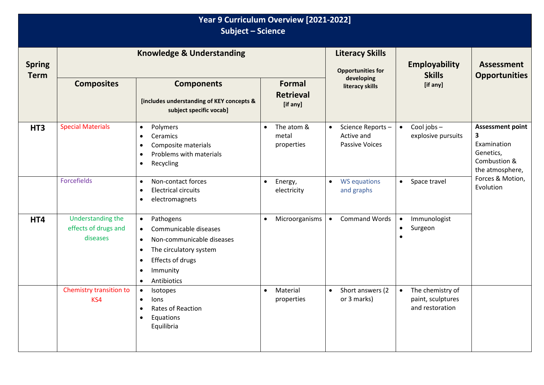| Year 9 Curriculum Overview [2021-2022]<br><b>Subject - Science</b> |                                                       |                                                                                                                                                                                                                                     |                                                |                                                                      |                                                                       |                                                                                             |  |
|--------------------------------------------------------------------|-------------------------------------------------------|-------------------------------------------------------------------------------------------------------------------------------------------------------------------------------------------------------------------------------------|------------------------------------------------|----------------------------------------------------------------------|-----------------------------------------------------------------------|---------------------------------------------------------------------------------------------|--|
| <b>Spring</b><br><b>Term</b>                                       | <b>Knowledge &amp; Understanding</b>                  |                                                                                                                                                                                                                                     |                                                | <b>Literacy Skills</b><br><b>Opportunities for</b>                   | <b>Employability</b><br><b>Skills</b>                                 | <b>Assessment</b><br><b>Opportunities</b>                                                   |  |
|                                                                    | <b>Composites</b>                                     | <b>Components</b><br>[includes understanding of KEY concepts &<br>subject specific vocab]                                                                                                                                           | <b>Formal</b><br><b>Retrieval</b><br>[if any]  | developing<br>literacy skills                                        | [if any]                                                              |                                                                                             |  |
| HT <sub>3</sub>                                                    | <b>Special Materials</b>                              | Polymers<br>$\bullet$<br>Ceramics<br>$\bullet$<br>Composite materials<br>$\bullet$<br>Problems with materials<br>$\bullet$<br>Recycling<br>$\bullet$                                                                                | The atom &<br>$\bullet$<br>metal<br>properties | Science Reports-<br>$\bullet$<br>Active and<br><b>Passive Voices</b> | Cool jobs-<br>$\bullet$<br>explosive pursuits                         | <b>Assessment point</b><br>3<br>Examination<br>Genetics,<br>Combustion &<br>the atmosphere, |  |
|                                                                    | Forcefields                                           | Non-contact forces<br>$\bullet$<br><b>Electrical circuits</b><br>$\bullet$<br>electromagnets<br>$\bullet$                                                                                                                           | Energy,<br>$\bullet$<br>electricity            | <b>WS equations</b><br>$\bullet$<br>and graphs                       | Space travel<br>$\bullet$                                             | Forces & Motion,<br>Evolution                                                               |  |
| HT4                                                                | Understanding the<br>effects of drugs and<br>diseases | Pathogens<br>$\bullet$<br>Communicable diseases<br>$\bullet$<br>Non-communicable diseases<br>$\bullet$<br>The circulatory system<br>$\bullet$<br>Effects of drugs<br>$\bullet$<br>Immunity<br>$\bullet$<br>Antibiotics<br>$\bullet$ | Microorganisms<br>$\bullet$                    | <b>Command Words</b><br>$\bullet$                                    | Immunologist<br>$\bullet$<br>Surgeon<br>$\bullet$<br>$\bullet$        |                                                                                             |  |
|                                                                    | Chemistry transition to<br>KS4                        | Isotopes<br>lons<br>$\bullet$<br>Rates of Reaction<br>$\bullet$<br>Equations<br>$\bullet$<br>Equilibria                                                                                                                             | Material<br>properties                         | Short answers (2)<br>$\bullet$<br>or 3 marks)                        | The chemistry of<br>$\bullet$<br>paint, sculptures<br>and restoration |                                                                                             |  |